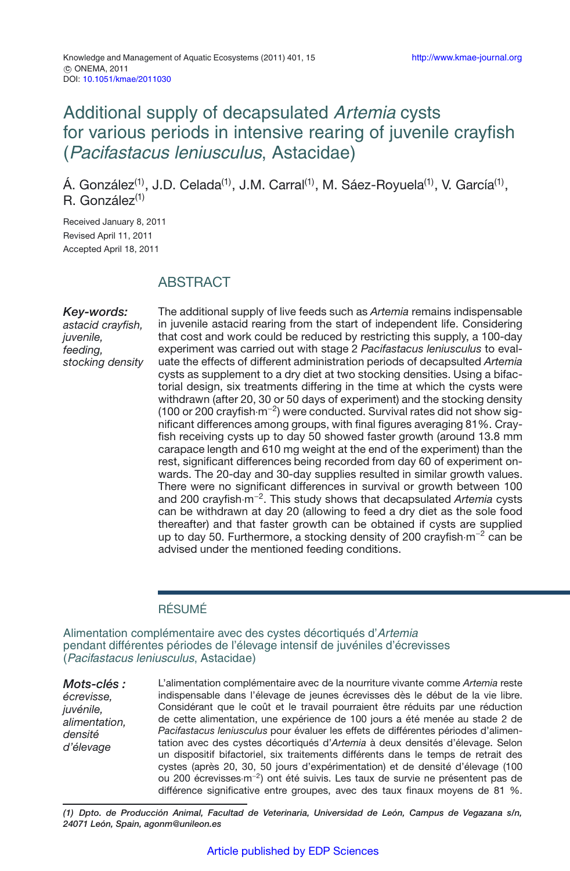# Additional supply of decapsulated Artemia cysts for various periods in intensive rearing of juvenile crayfish (Pacifastacus leniusculus, Astacidae)

Á. González<sup>(1)</sup>, J.D. Celada<sup>(1)</sup>, J.M. Carral<sup>(1)</sup>, M. Sáez-Royuela<sup>(1)</sup>, V. García<sup>(1)</sup>,  $R.$  González<sup>(1)</sup>

Received January 8, 2011 Revised April 11, 2011 Accepted April 18, 2011

# **ABSTRACT**

### *Key-words:*

*astacid crayfish, juvenile, feeding, stocking density*

The additional supply of live feeds such as *Artemia* remains indispensable in juvenile astacid rearing from the start of independent life. Considering that cost and work could be reduced by restricting this supply, a 100-day experiment was carried out with stage 2 *Pacifastacus leniusculus* to evaluate the effects of different administration periods of decapsulted *Artemia* cysts as supplement to a dry diet at two stocking densities. Using a bifactorial design, six treatments differing in the time at which the cysts were withdrawn (after 20, 30 or 50 days of experiment) and the stocking density (100 or 200 crayfish·m−2) were conducted. Survival rates did not show significant differences among groups, with final figures averaging 81%. Crayfish receiving cysts up to day 50 showed faster growth (around 13.8 mm carapace length and 610 mg weight at the end of the experiment) than the rest, significant differences being recorded from day 60 of experiment onwards. The 20-day and 30-day supplies resulted in similar growth values. There were no significant differences in survival or growth between 100 and 200 crayfish·m−2. This study shows that decapsulated *Artemia* cysts can be withdrawn at day 20 (allowing to feed a dry diet as the sole food thereafter) and that faster growth can be obtained if cysts are supplied up to day 50. Furthermore, a stocking density of 200 crayfish·m−<sup>2</sup> can be advised under the mentioned feeding conditions.

### RÉSUMÉ

Alimentation complémentaire avec des cystes décortiqués d'Artemia pendant différentes périodes de l'élevage intensif de juvéniles d'écrevisses (Pacifastacus leniusculus, Astacidae)

*Mots-clés : écrevisse, juvénile, alimentation, densité d'élevage*

L'alimentation complémentaire avec de la nourriture vivante comme *Artemia* reste indispensable dans l'élevage de jeunes écrevisses dès le début de la vie libre. Considérant que le coût et le travail pourraient être réduits par une réduction de cette alimentation, une expérience de 100 jours a été menée au stade 2 de *Pacifastacus leniusculus* pour évaluer les effets de différentes périodes d'alimentation avec des cystes décortiqués d'*Artemia* à deux densités d'élevage. Selon un dispositif bifactoriel, six traitements différents dans le temps de retrait des cystes (après 20, 30, 50 jours d'expérimentation) et de densité d'élevage (100 ou 200 écrevisses·m−2) ont été suivis. Les taux de survie ne présentent pas de différence significative entre groupes, avec des taux finaux moyens de 81 %.

*(1) Dpto. de Producción Animal, Facultad de Veterinaria, Universidad de León, Campus de Vegazana s/n, 24071 León, Spain, agonm@unileon.es*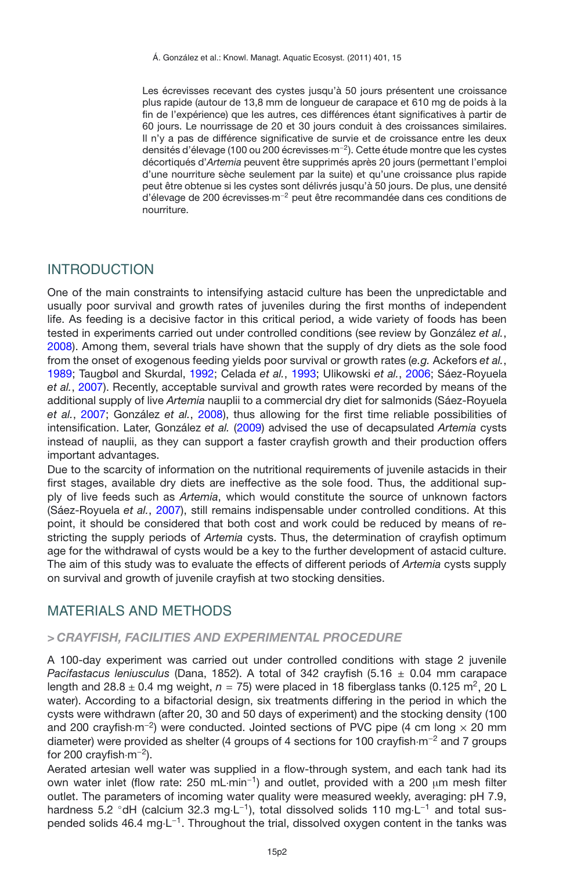Les écrevisses recevant des cystes jusqu'à 50 jours présentent une croissance plus rapide (autour de 13,8 mm de longueur de carapace et 610 mg de poids à la fin de l'expérience) que les autres, ces différences étant significatives à partir de 60 jours. Le nourrissage de 20 et 30 jours conduit à des croissances similaires. Il n'y a pas de différence significative de survie et de croissance entre les deux densités d'élevage (100 ou 200 écrevisses·m−2). Cette étude montre que les cystes décortiqués d'*Artemia* peuvent être supprimés après 20 jours (permettant l'emploi d'une nourriture sèche seulement par la suite) et qu'une croissance plus rapide peut être obtenue si les cystes sont délivrés jusqu'à 50 jours. De plus, une densité d'élevage de 200 écrevisses·m−<sup>2</sup> peut être recommandée dans ces conditions de nourriture.

### INTRODUCTION

One of the main constraints to intensifying astacid culture has been the unpredictable and usually poor survival and growth rates of juveniles during the first months of independent life. As feeding is a decisive factor in this critical period, a wide variety of foods has been tested in experiments carried out under controlled conditions (see review by González *et al.*, [2008\)](#page-6-0). Among them, several trials have shown that the supply of dry diets as the sole food from the onset of exogenous feeding yields poor survival or growth rates (*e.g.* Ackefors *et al.*, [1989;](#page-5-0) Taugbøl and Skurdal, [1992;](#page-6-1) Celada *et al.*, [1993](#page-6-2); Ulikowski *et al.*, [2006](#page-6-3); Sáez-Royuela *et al.*, [2007](#page-6-4)). Recently, acceptable survival and growth rates were recorded by means of the additional supply of live *Artemia* nauplii to a commercial dry diet for salmonids (Sáez-Royuela *et al.*, [2007;](#page-6-4) González *et al.*, [2008](#page-6-0)), thus allowing for the first time reliable possibilities of intensification. Later, González *et al.* [\(2009](#page-6-5)) advised the use of decapsulated *Artemia* cysts instead of nauplii, as they can support a faster crayfish growth and their production offers important advantages.

Due to the scarcity of information on the nutritional requirements of juvenile astacids in their first stages, available dry diets are ineffective as the sole food. Thus, the additional supply of live feeds such as *Artemia*, which would constitute the source of unknown factors (Sáez-Royuela *et al.*, [2007\)](#page-6-4), still remains indispensable under controlled conditions. At this point, it should be considered that both cost and work could be reduced by means of restricting the supply periods of *Artemia* cysts. Thus, the determination of crayfish optimum age for the withdrawal of cysts would be a key to the further development of astacid culture. The aim of this study was to evaluate the effects of different periods of *Artemia* cysts supply on survival and growth of juvenile crayfish at two stocking densities.

# MATERIALS AND METHODS

### *> CRAYFISH, FACILITIES AND EXPERIMENTAL PROCEDURE*

A 100-day experiment was carried out under controlled conditions with stage 2 juvenile *Pacifastacus leniusculus* (Dana, 1852). A total of 342 crayfish (5.16 ± 0.04 mm carapace length and  $28.8 \pm 0.4$  mg weight,  $n = 75$ ) were placed in 18 fiberglass tanks (0.125 m<sup>2</sup>, 20 L water). According to a bifactorial design, six treatments differing in the period in which the cysts were withdrawn (after 20, 30 and 50 days of experiment) and the stocking density (100 and 200 crayfish·m<sup>-2</sup>) were conducted. Jointed sections of PVC pipe (4 cm long  $\times$  20 mm diameter) were provided as shelter (4 groups of 4 sections for 100 crayfish·m<sup>-2</sup> and 7 groups for 200 crayfish $\cdot$ m<sup>-2</sup>).

Aerated artesian well water was supplied in a flow-through system, and each tank had its own water inlet (flow rate: 250 mL·min<sup>-1</sup>) and outlet, provided with a 200  $\mu$ m mesh filter outlet. The parameters of incoming water quality were measured weekly, averaging: pH 7.9, hardness 5.2 °dH (calcium 32.3 mg·L<sup>-1</sup>), total dissolved solids 110 mg·L<sup>-1</sup> and total suspended solids 46.4 mg⋅L<sup>-1</sup>. Throughout the trial, dissolved oxygen content in the tanks was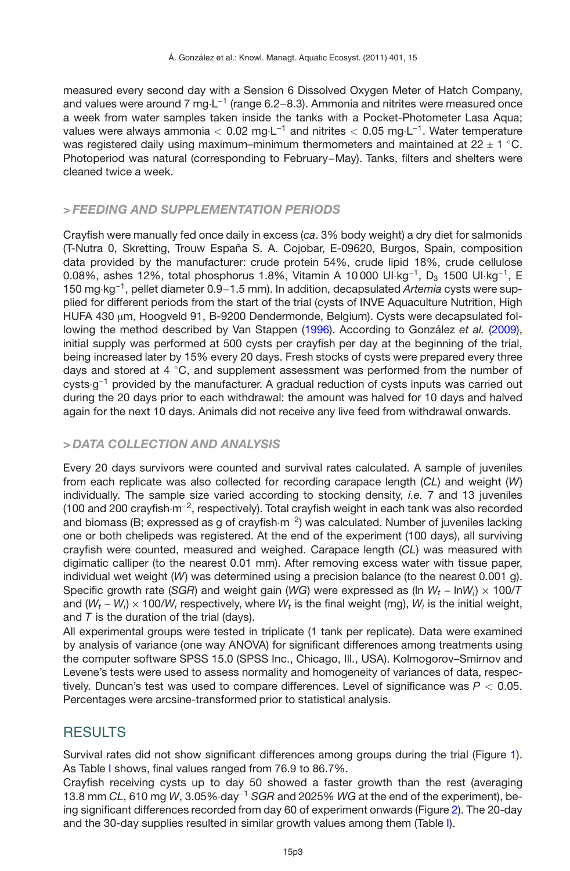measured every second day with a Sension 6 Dissolved Oxygen Meter of Hatch Company, and values were around 7 mg·L<sup>-1</sup> (range 6.2–8.3). Ammonia and nitrites were measured once a week from water samples taken inside the tanks with a Pocket-Photometer Lasa Aqua; values were always ammonia *<sup>&</sup>lt;* 0.02 mg·L−<sup>1</sup> and nitrites *<sup>&</sup>lt;* 0.05 mg·L−1. Water temperature was registered daily using maximum–minimum thermometers and maintained at  $22 \pm 1$  °C. Photoperiod was natural (corresponding to February−May). Tanks, filters and shelters were cleaned twice a week.

### *> FEEDING AND SUPPLEMENTATION PERIODS*

Crayfish were manually fed once daily in excess (*ca*. 3% body weight) a dry diet for salmonids (T-Nutra 0, Skretting, Trouw España S. A. Cojobar, E-09620, Burgos, Spain, composition data provided by the manufacturer: crude protein 54%, crude lipid 18%, crude cellulose 0.08%, ashes 12%, total phosphorus 1.8%, Vitamin A 10000 UI·kg<sup>-1</sup>, D<sub>3</sub> 1500 UI·kg<sup>-1</sup>, E 150 mg·kg−1, pellet diameter 0.9−1.5 mm). In addition, decapsulated *Artemia* cysts were supplied for different periods from the start of the trial (cysts of INVE Aquaculture Nutrition, High HUFA 430 µm, Hoogveld 91, B-9200 Dendermonde, Belgium). Cysts were decapsulated following the method described by Van Stappen [\(1996\)](#page-6-6). According to González *et al.* [\(2009](#page-6-5)), initial supply was performed at 500 cysts per crayfish per day at the beginning of the trial, being increased later by 15% every 20 days. Fresh stocks of cysts were prepared every three days and stored at  $4 °C$ , and supplement assessment was performed from the number of cysts·g−<sup>1</sup> provided by the manufacturer. A gradual reduction of cysts inputs was carried out during the 20 days prior to each withdrawal: the amount was halved for 10 days and halved again for the next 10 days. Animals did not receive any live feed from withdrawal onwards.

### *> DATA COLLECTION AND ANALYSIS*

Every 20 days survivors were counted and survival rates calculated. A sample of juveniles from each replicate was also collected for recording carapace length (*CL*) and weight (*W*) individually. The sample size varied according to stocking density, *i.e.* 7 and 13 juveniles (100 and 200 crayfish·m−2, respectively). Total crayfish weight in each tank was also recorded and biomass (B; expressed as g of crayfish·m−2) was calculated. Number of juveniles lacking one or both chelipeds was registered. At the end of the experiment (100 days), all surviving crayfish were counted, measured and weighed. Carapace length (*CL*) was measured with digimatic calliper (to the nearest 0.01 mm). After removing excess water with tissue paper, individual wet weight (*W*) was determined using a precision balance (to the nearest 0.001 g). Specific growth rate (*SGR*) and weight gain (*WG*) were expressed as (ln *Wt* − ln*Wi*) × 100/*T* and (*Wt* − *Wi*) × 100/*Wi* respectively, where *Wt* is the final weight (mg), *Wi* is the initial weight, and *T* is the duration of the trial (days).

All experimental groups were tested in triplicate (1 tank per replicate). Data were examined by analysis of variance (one way ANOVA) for significant differences among treatments using the computer software SPSS 15.0 (SPSS Inc., Chicago, Ill., USA). Kolmogorov–Smirnov and Levene's tests were used to assess normality and homogeneity of variances of data, respectively. Duncan's test was used to compare differences. Level of significance was *P <* 0.05. Percentages were arcsine-transformed prior to statistical analysis.

# RESULTS

Survival rates did not show significant differences among groups during the trial (Figure [1\)](#page-3-0). As Table [I](#page-3-1) shows, final values ranged from 76.9 to 86.7%.

Crayfish receiving cysts up to day 50 showed a faster growth than the rest (averaging 13.8 mm *CL*, 610 mg *<sup>W</sup>*, 3.05%·day−<sup>1</sup> *SGR* and 2025% *WG* at the end of the experiment), being significant differences recorded from day 60 of experiment onwards (Figure [2\)](#page-4-0). The 20-day and the 30-day supplies resulted in similar growth values among them (Table [I\)](#page-3-1).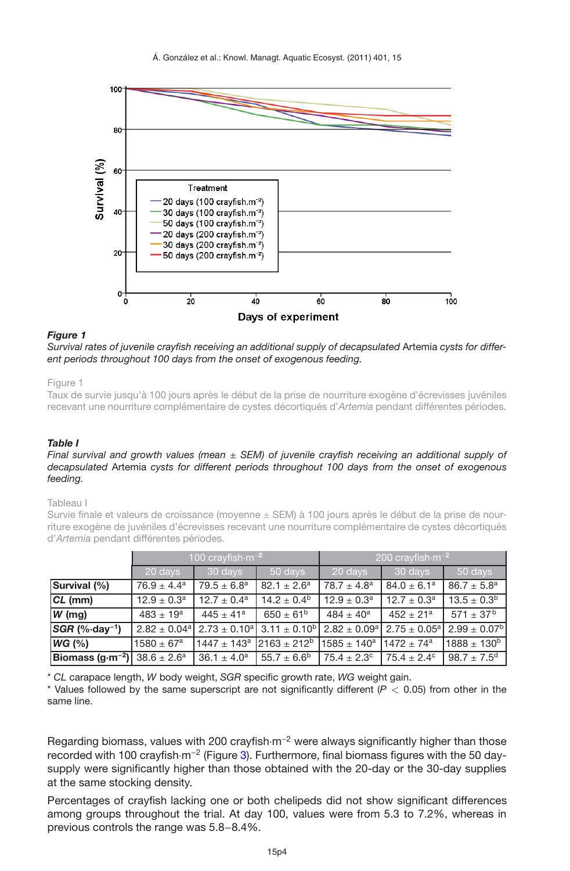<span id="page-3-0"></span>

#### *Figure 1*

*Survival rates of juvenile crayfish receiving an additional supply of decapsulated* Artemia *cysts for different periods throughout 100 days from the onset of exogenous feeding.*

Figure 1

Taux de survie jusqu'à 100 jours après le début de la prise de nourriture exogène d'écrevisses juvéniles recevant une nourriture complémentaire de cystes décortiqués d'*Artemia* pendant différentes périodes.

#### <span id="page-3-1"></span>*Table I*

#### *Final survival and growth values (mean* ± *SEM) of juvenile crayfish receiving an additional supply of decapsulated* Artemia *cysts for different periods throughout 100 days from the onset of exogenous feeding.*

#### Tableau I

Survie finale et valeurs de croissance (moyenne  $\pm$  SEM) à 100 jours après le début de la prise de nourriture exogène de juvéniles d'écrevisses recevant une nourriture complémentaire de cystes décortiqués d'*Artemia* pendant différentes périodes.

|                                                               | 100 crayfish $\cdot$ m <sup>-2</sup> |                                                     |                      | 200 crayfish $\cdot$ m <sup>-2</sup> |                        |                                                                                                                                                                                         |
|---------------------------------------------------------------|--------------------------------------|-----------------------------------------------------|----------------------|--------------------------------------|------------------------|-----------------------------------------------------------------------------------------------------------------------------------------------------------------------------------------|
|                                                               | 20 days                              | 30 days                                             | 50 days              | 20 days                              | 30 days                | 50 days                                                                                                                                                                                 |
| Survival (%)                                                  | $76.9 \pm 4.4^a$                     | $79.5 \pm 6.8^a$                                    | $82.1 \pm 2.6^a$     | $78.7 \pm 4.8^a$                     | $84.0 \pm 6.1^a$       | $86.7 \pm 5.8^a$                                                                                                                                                                        |
| $CL$ (mm)                                                     | $12.9 \pm 0.3^a$                     | $12.7 \pm 0.4^a$                                    | $14.2 \pm 0.4^b$     | $12.9 \pm 0.3^a$                     | $12.7 \pm 0.3^a$       | $13.5 \pm 0.3^b$                                                                                                                                                                        |
| $W$ (mg)                                                      | $483 \pm 19^a$                       | $445 \pm 41^a$                                      | $650 \pm 61^{\rm b}$ | $484 \pm 40^a$                       | $452 \pm 21^a$         | $571 \pm 37^{\rm b}$                                                                                                                                                                    |
| $SGR$ (% $\cdot$ day <sup>-1</sup> )                          |                                      |                                                     |                      |                                      |                        | $2.82 \pm 0.04$ <sup>a</sup>   2.73 $\pm$ 0.10 <sup>a</sup>   3.11 $\pm$ 0.10 <sup>b</sup>   2.82 $\pm$ 0.09 <sup>a</sup>   2.75 $\pm$ 0.05 <sup>a</sup>   2.99 $\pm$ 0.07 <sup>b</sup> |
| WG (%)                                                        | $1580 \pm 67^a$                      | $1447 \pm 143$ <sup>a</sup> 2163 ± 212 <sup>b</sup> |                      | $1585 \pm 140^a$                     | $1472 + 74^a$          | $1888 \pm 130^{b}$                                                                                                                                                                      |
| <b>Biomass (g·m<sup>-2</sup>)</b> 38.6 $\pm$ 2.6 <sup>a</sup> |                                      | $36.1 \pm 4.0^a$                                    | $55.7 \pm 6.6^b$     | $75.4 \pm 2.3^{\circ}$               | $75.4 \pm 2.4^{\circ}$ | $98.7 \pm 7.5^{\rm d}$                                                                                                                                                                  |

\* *CL* carapace length, *W* body weight, *SGR* specific growth rate, *WG* weight gain.

\* Values followed by the same superscript are not significantly different (*P <* 0.05) from other in the same line.

Regarding biomass, values with 200 crayfish $\cdot$ m<sup>-2</sup> were always significantly higher than those recorded with 100 crayfish·m<sup>-2</sup> (Figure [3\)](#page-4-1). Furthermore, final biomass figures with the 50 daysupply were significantly higher than those obtained with the 20-day or the 30-day supplies at the same stocking density.

Percentages of crayfish lacking one or both chelipeds did not show significant differences among groups throughout the trial. At day 100, values were from 5.3 to 7.2%, whereas in previous controls the range was 5.8−8.4%.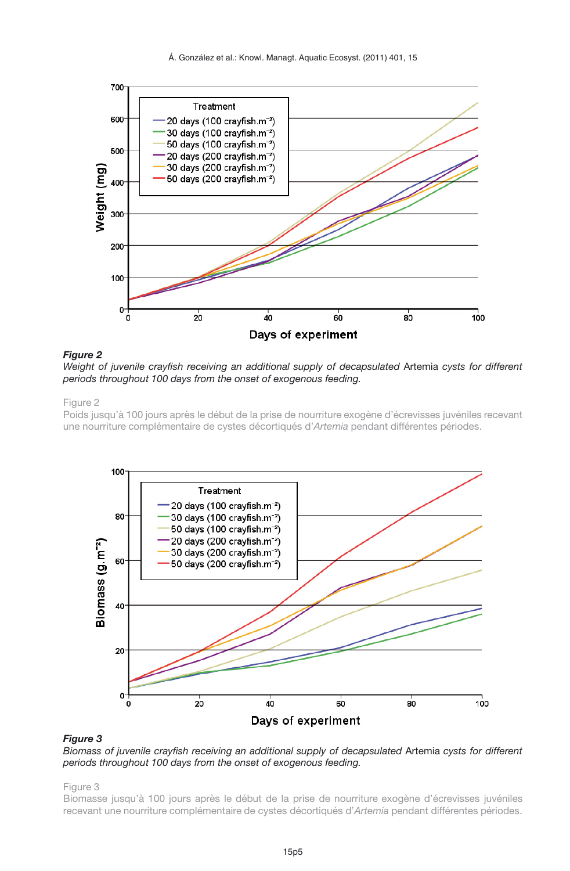<span id="page-4-0"></span>



#### *Figure 2*

*Weight of juvenile crayfish receiving an additional supply of decapsulated* Artemia *cysts for different periods throughout 100 days from the onset of exogenous feeding.*

#### Figure 2

Poids jusqu'à 100 jours après le début de la prise de nourriture exogène d'écrevisses juvéniles recevant une nourriture complémentaire de cystes décortiqués d'*Artemia* pendant différentes périodes.

<span id="page-4-1"></span>

#### *Figure 3*

*Biomass of juvenile crayfish receiving an additional supply of decapsulated* Artemia *cysts for different periods throughout 100 days from the onset of exogenous feeding.*

#### Figure 3

Biomasse jusqu'à 100 jours après le début de la prise de nourriture exogène d'écrevisses juvéniles recevant une nourriture complémentaire de cystes décortiqués d'*Artemia* pendant différentes périodes.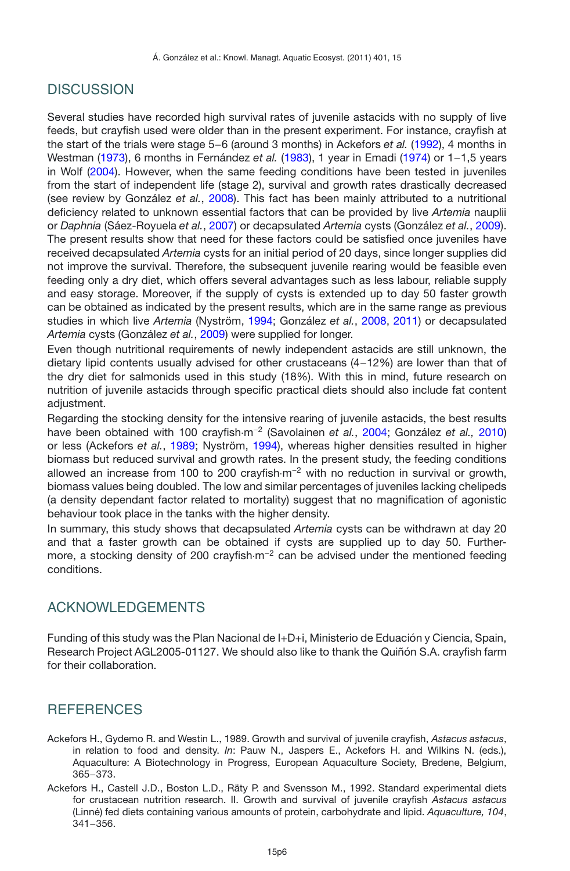# **DISCUSSION**

Several studies have recorded high survival rates of juvenile astacids with no supply of live feeds, but crayfish used were older than in the present experiment. For instance, crayfish at the start of the trials were stage 5−6 (around 3 months) in Ackefors *et al.* [\(1992\)](#page-5-1), 4 months in Westman [\(1973\)](#page-6-7), 6 months in Fernández *et al.* [\(1983](#page-6-8)), 1 year in Emadi [\(1974\)](#page-6-9) or 1−1,5 years in Wolf [\(2004\)](#page-6-10). However, when the same feeding conditions have been tested in juveniles from the start of independent life (stage 2), survival and growth rates drastically decreased (see review by González *et al.*, [2008](#page-6-0)). This fact has been mainly attributed to a nutritional deficiency related to unknown essential factors that can be provided by live *Artemia* nauplii or *Daphnia* (Sáez-Royuela *et al.*, [2007](#page-6-4)) or decapsulated *Artemia* cysts (González *et al.*, [2009](#page-6-5)). The present results show that need for these factors could be satisfied once juveniles have received decapsulated *Artemia* cysts for an initial period of 20 days, since longer supplies did not improve the survival. Therefore, the subsequent juvenile rearing would be feasible even feeding only a dry diet, which offers several advantages such as less labour, reliable supply and easy storage. Moreover, if the supply of cysts is extended up to day 50 faster growth can be obtained as indicated by the present results, which are in the same range as previous studies in which live *Artemia* (Nyström, [1994](#page-6-11); González *et al.*, [2008](#page-6-0), [2011](#page-6-12)) or decapsulated *Artemia* cysts (González *et al.*, [2009](#page-6-5)) were supplied for longer.

Even though nutritional requirements of newly independent astacids are still unknown, the dietary lipid contents usually advised for other crustaceans (4−12%) are lower than that of the dry diet for salmonids used in this study (18%). With this in mind, future research on nutrition of juvenile astacids through specific practical diets should also include fat content adiustment.

Regarding the stocking density for the intensive rearing of juvenile astacids, the best results have been obtained with 100 crayfish·m−<sup>2</sup> (Savolainen *et al.*, [2004;](#page-6-13) González *et al.,* [2010\)](#page-6-14) or less (Ackefors *et al.*, [1989;](#page-5-0) Nyström, [1994](#page-6-11)), whereas higher densities resulted in higher biomass but reduced survival and growth rates. In the present study, the feeding conditions allowed an increase from 100 to 200 crayfish $\cdot$ m<sup>-2</sup> with no reduction in survival or growth, biomass values being doubled. The low and similar percentages of juveniles lacking chelipeds (a density dependant factor related to mortality) suggest that no magnification of agonistic behaviour took place in the tanks with the higher density.

In summary, this study shows that decapsulated *Artemia* cysts can be withdrawn at day 20 and that a faster growth can be obtained if cysts are supplied up to day 50. Furthermore, a stocking density of 200 crayfish $m^{-2}$  can be advised under the mentioned feeding conditions.

# ACKNOWLEDGEMENTS

Funding of this study was the Plan Nacional de I+D+i, Ministerio de Eduación y Ciencia, Spain, Research Project AGL2005-01127. We should also like to thank the Quiñón S.A. crayfish farm for their collaboration.

# **REFERENCES**

- <span id="page-5-0"></span>Ackefors H., Gydemo R. and Westin L., 1989. Growth and survival of juvenile crayfish, *Astacus astacus*, in relation to food and density. *In*: Pauw N., Jaspers E., Ackefors H. and Wilkins N. (eds.), Aquaculture: A Biotechnology in Progress, European Aquaculture Society, Bredene, Belgium, 365−373.
- <span id="page-5-1"></span>Ackefors H., Castell J.D., Boston L.D., Räty P. and Svensson M., 1992. Standard experimental diets for crustacean nutrition research. II. Growth and survival of juvenile crayfish *Astacus astacus* (Linné) fed diets containing various amounts of protein, carbohydrate and lipid. *Aquaculture, 104*, 341−356.